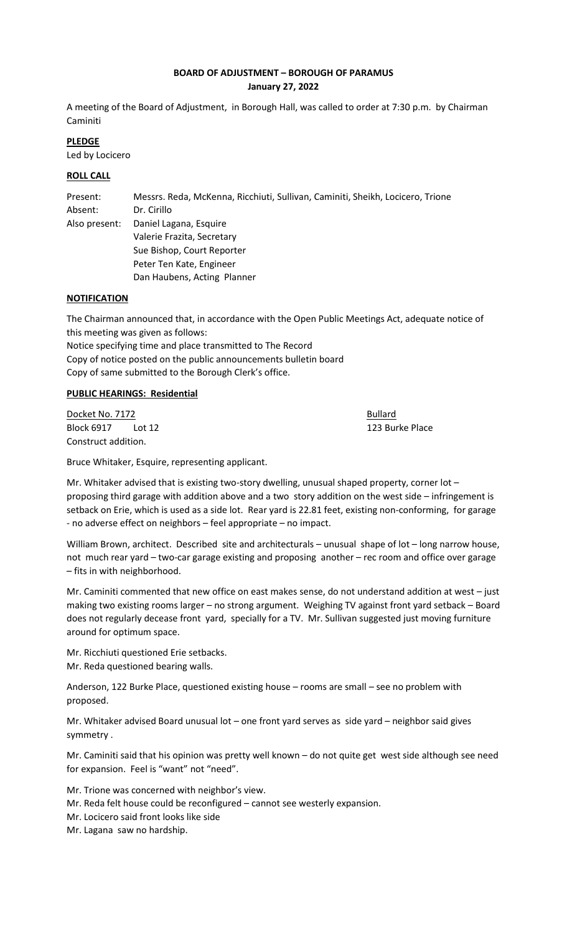# **BOARD OF ADJUSTMENT – BOROUGH OF PARAMUS January 27, 2022**

A meeting of the Board of Adjustment, in Borough Hall, was called to order at 7:30 p.m. by Chairman Caminiti

# **PLEDGE**

Led by Locicero

# **ROLL CALL**

Present: Messrs. Reda, McKenna, Ricchiuti, Sullivan, Caminiti, Sheikh, Locicero, Trione Absent: Dr. Cirillo Also present: Daniel Lagana, Esquire Valerie Frazita, Secretary Sue Bishop, Court Reporter Peter Ten Kate, Engineer Dan Haubens, Acting Planner

## **NOTIFICATION**

The Chairman announced that, in accordance with the Open Public Meetings Act, adequate notice of this meeting was given as follows:

Notice specifying time and place transmitted to The Record Copy of notice posted on the public announcements bulletin board Copy of same submitted to the Borough Clerk's office.

# **PUBLIC HEARINGS: Residential**

Docket No. 7172 **Bullard** Block 6917 Lot 12 20 20 20 20 20 20 20 20 20 21 23 Burke Place Construct addition.

Bruce Whitaker, Esquire, representing applicant.

Mr. Whitaker advised that is existing two-story dwelling, unusual shaped property, corner lot proposing third garage with addition above and a two story addition on the west side – infringement is setback on Erie, which is used as a side lot. Rear yard is 22.81 feet, existing non-conforming, for garage - no adverse effect on neighbors – feel appropriate – no impact.

William Brown, architect. Described site and architecturals – unusual shape of lot – long narrow house, not much rear yard – two-car garage existing and proposing another – rec room and office over garage – fits in with neighborhood.

Mr. Caminiti commented that new office on east makes sense, do not understand addition at west – just making two existing rooms larger – no strong argument. Weighing TV against front yard setback – Board does not regularly decease front yard, specially for a TV. Mr. Sullivan suggested just moving furniture around for optimum space.

Mr. Ricchiuti questioned Erie setbacks. Mr. Reda questioned bearing walls.

Anderson, 122 Burke Place, questioned existing house – rooms are small – see no problem with proposed.

Mr. Whitaker advised Board unusual lot – one front yard serves as side yard – neighbor said gives symmetry .

Mr. Caminiti said that his opinion was pretty well known – do not quite get west side although see need for expansion. Feel is "want" not "need".

Mr. Trione was concerned with neighbor's view. Mr. Reda felt house could be reconfigured – cannot see westerly expansion. Mr. Locicero said front looks like side Mr. Lagana saw no hardship.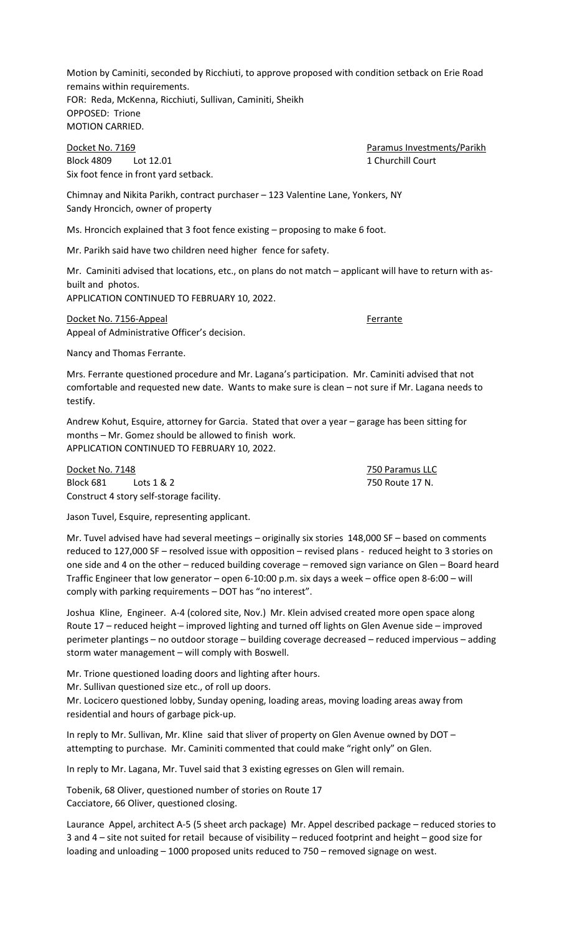Motion by Caminiti, seconded by Ricchiuti, to approve proposed with condition setback on Erie Road remains within requirements. FOR: Reda, McKenna, Ricchiuti, Sullivan, Caminiti, Sheikh OPPOSED: Trione MOTION CARRIED.

Docket No. 7169 **Paramus Investments/Parikh** Block 4809 Lot 12.01 2008 1 Churchill Court Six foot fence in front yard setback.

Chimnay and Nikita Parikh, contract purchaser – 123 Valentine Lane, Yonkers, NY Sandy Hroncich, owner of property

Ms. Hroncich explained that 3 foot fence existing – proposing to make 6 foot.

Mr. Parikh said have two children need higher fence for safety.

Mr. Caminiti advised that locations, etc., on plans do not match – applicant will have to return with asbuilt and photos.

APPLICATION CONTINUED TO FEBRUARY 10, 2022.

Docket No. 7156-Appeal **Ferrante** Appeal of Administrative Officer's decision.

Nancy and Thomas Ferrante.

Mrs. Ferrante questioned procedure and Mr. Lagana's participation. Mr. Caminiti advised that not comfortable and requested new date. Wants to make sure is clean – not sure if Mr. Lagana needs to testify.

Andrew Kohut, Esquire, attorney for Garcia. Stated that over a year – garage has been sitting for months – Mr. Gomez should be allowed to finish work. APPLICATION CONTINUED TO FEBRUARY 10, 2022.

Docket No. 7148 750 Paramus LLC Block 681 Lots 1 & 2 750 Route 17 N. Construct 4 story self-storage facility.

Jason Tuvel, Esquire, representing applicant.

Mr. Tuvel advised have had several meetings – originally six stories 148,000 SF – based on comments reduced to 127,000 SF – resolved issue with opposition – revised plans - reduced height to 3 stories on one side and 4 on the other – reduced building coverage – removed sign variance on Glen – Board heard Traffic Engineer that low generator – open 6-10:00 p.m. six days a week – office open 8-6:00 – will comply with parking requirements – DOT has "no interest".

Joshua Kline, Engineer. A-4 (colored site, Nov.) Mr. Klein advised created more open space along Route 17 – reduced height – improved lighting and turned off lights on Glen Avenue side – improved perimeter plantings – no outdoor storage – building coverage decreased – reduced impervious – adding storm water management – will comply with Boswell.

Mr. Trione questioned loading doors and lighting after hours.

Mr. Sullivan questioned size etc., of roll up doors.

Mr. Locicero questioned lobby, Sunday opening, loading areas, moving loading areas away from residential and hours of garbage pick-up.

In reply to Mr. Sullivan, Mr. Kline said that sliver of property on Glen Avenue owned by DOT – attempting to purchase. Mr. Caminiti commented that could make "right only" on Glen.

In reply to Mr. Lagana, Mr. Tuvel said that 3 existing egresses on Glen will remain.

Tobenik, 68 Oliver, questioned number of stories on Route 17 Cacciatore, 66 Oliver, questioned closing.

Laurance Appel, architect A-5 (5 sheet arch package) Mr. Appel described package – reduced stories to 3 and 4 – site not suited for retail because of visibility – reduced footprint and height – good size for loading and unloading – 1000 proposed units reduced to 750 – removed signage on west.